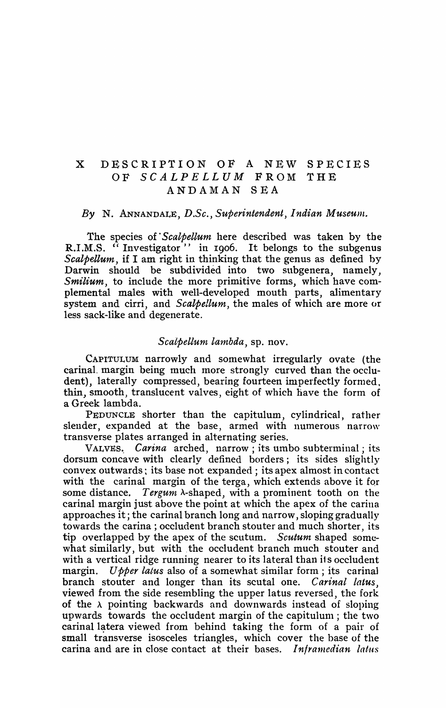## X DESCRIPTION OF A NEW SPECIES OF *SCALPELLUM* FROM THE ANDAMAN SEA

## By N. ANNANDALE, D.Sc., Superintendent, Indian Museum.

The species of *'Sealpellum* here described was taken by the R.I.M.S. "Investigator" in 1906. It belongs to the subgenus *Scalpellum*, if I am right in thinking that the genus as defined by Darwin should be subdivided into two subgenera, namely, *Smilium,* to include the more primitive forms, which have complemental males with well-developed mouth parts, alimentary system and cirri, and *Sealpellum,* the males of which are more or less sack-like and degenerate.

## *Sealpellum lambda,* sp. nov.

CAPITULUM narrowly and somewhat irregularly ovate (the carinal margin being much more strongly curved than the occludent), laterally compressed, bearing fourteen imperfectly formed. thin, smooth, translucent valves, eight of which have the form of a Greek lambda.

PEDUNCLE shorter than the capitulum, cylindrical, rather slender, expanded at the base, armed with numerous narrow transverse plates arranged in alternating series.

VALVES.. *Carina* arched, narrow; its umbo subterminal; its dorsum concave with clearly defined borders; its sides slightly convex outwards: its base not expanded; its apex almost in contact with the carinal margin of the terga, which extends above it for some distance. *Tergum* A-shaped, with a prominent tooth on the carinal margin just above the point at which the apex of the carina approaches it; the carinal branch long and narrow, sloping gradually towards the carina; occludent branch stouter and much shorter, its tip overlapped by the apex of the scutum. *Scutum* shaped somewhat similarly, but with the occludent branch much stouter and with a vertical ridge running nearer to its lateral than its occludent margin. *Upper latus* also of a somewhat similar form; its carinal branch stouter and longer than its scutal one. *Carinal latus*, viewed from the side resembling the upper latus reversed, the fork of the  $\lambda$  pointing backwards and downwards instead of sloping upwards towards the occludent margin of the capitulum; the two carinal latera viewed from behind taking the form of a pair of small transverse isosceles triangles, which cover the base of the carina and are in close contact at their bases. *Inframedian latus*